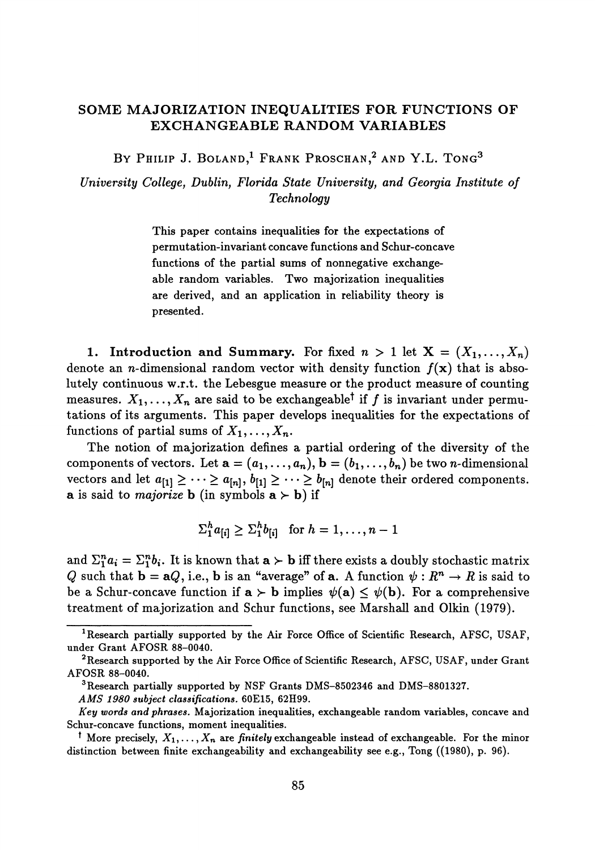## **SOME MAJORIZATION INEQUALITIES FOR FUNCTIONS OF EXCHANGEABLE RANDOM VARIABLES**

By Philip J. Boland,<sup>i</sup> Frank Proschan,<sup>2</sup> and Y.L. Tong<sup>3</sup>

*University College, Dublin, Florida State University, and Georgia Institute of Technology*

> This paper contains inequalities for the expectations of permutation-invariant concave functions and Schur-concave functions of the partial sums of nonnegative exchange able random variables. Two majorization inequalities are derived, and an application in reliability theory is presented.

1. Introduction and Summary. For fixed  $n > 1$  let  $X = (X_1, \ldots, X_n)$ denote an *n*-dimensional random vector with density function  $f(x)$  that is absolutely continuous w.r.t. the Lebesgue measure or the product measure of counting measures.  $X_1, \ldots, X_n$  are said to be exchangeable<sup>†</sup> if  $f$  is invariant under permu tations of its arguments. This paper develops inequalities for the expectations of functions of partial sums of  $X_1, \ldots, X_n$ .

The notion of majorization defines a partial ordering of the diversity of the  $\text{components of vectors.}$  Let  $\mathbf{a} = (a_1, \ldots, a_n), \mathbf{b} = (b_1, \ldots, b_n)$  be two *n*-dimensional vectors and let  $a_{[1]} \geq \cdots \geq a_{[n]}, b_{[1]} \geq \cdots \geq b_{[n]}$  denote their ordered components. **a** is said to *majorize* **b** (in symbols  $\mathbf{a} \succ \mathbf{b}$ ) if

$$
\sum_1^h a_{[i]} \geq \sum_1^h b_{[i]}
$$
 for  $h = 1, \ldots, n-1$ 

and  $\Sigma_1^n a_i = \Sigma_1^n b_i$ . It is known that  $\mathbf{a} \succ \mathbf{b}$  iff there exists a doubly stochastic matrix *Q* such that  $\mathbf{b} = \mathbf{a}Q$ , i.e.,  $\mathbf{b}$  is an "average" of  $\mathbf{a}$ . A function  $\psi : R^n \to R$  is said to be a Schur-concave function if  $\mathbf{a} \succ \mathbf{b}$  implies  $\psi(\mathbf{a}) \leq \psi(\mathbf{b})$ . For a comprehensive treatment of majorization and Schur functions, see Marshall and Olkin (1979).

*AMS 1980 subject classifications.* **60E15, 62H99.**

**<sup>1</sup> Research partially supported by the Air Force Office of Scientific Research, AFSC, USAF, under Grant AFOSR 88-0040.**

**<sup>2</sup> Research supported by the Air Force Office of Scientific Research, AFSC, USAF, under Grant AFOSR 88-0040.**

**<sup>3</sup> Research partially supported by NSF Grants DMS-8502346 and DMS-8801327.**

*Key words and phrases.* **Majorization inequalities, exchangeable random variables, concave and Schur-concave functions, moment inequalities.**

**<sup>\*</sup> More precisely,** *X\***,...,** *X<sup>n</sup>*  **are** *finitely* **exchangeable instead of exchangeable. For the minor distinction between finite exchangeability and exchangeability see e.g., Tong ((1980), p. 96).**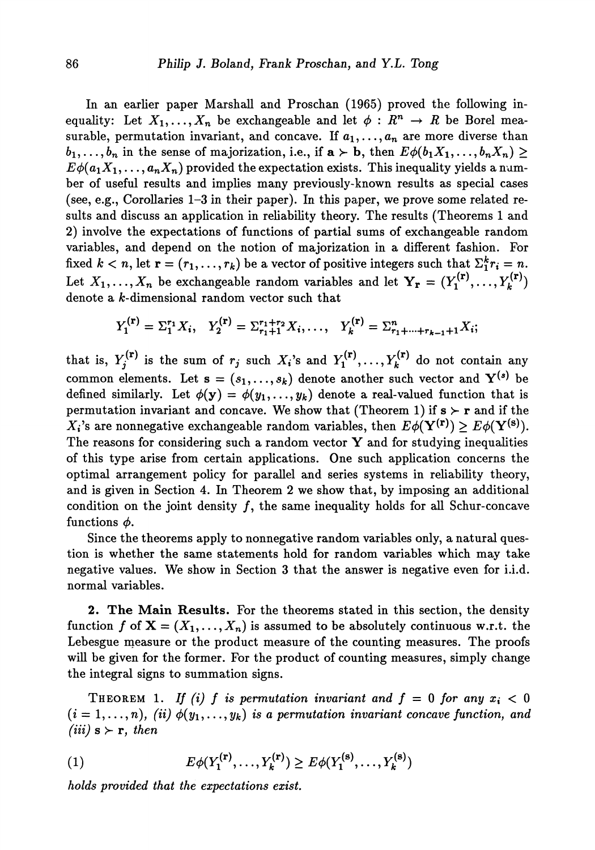In an earlier paper Marshall and Proschan (1965) proved the following in equality: Let  $X_1, \ldots, X_n$  be exchangeable and let  $\phi : R^n \to R$  be Borel mea surable, permutation invariant, and concave. If  $a_1, \ldots, a_n$  are more diverse than  $b_1,\ldots,b_n$  in the sense of majorization, i.e., if  $\mathbf{a}\succ\mathbf{b}$ , then  $E\phi(b_1X_1,\ldots,b_nX_n)\geq 0$  $E\phi(a_1X_1,\ldots,a_nX_n)$  provided the expectation exists. This inequality yields a num ber of useful results and implies many previously-known results as special cases (see, e.g., Corollaries 1-3 in their paper). In this paper, we prove some related re sults and discuss an application in reliability theory. The results (Theorems 1 and 2) involve the expectations of functions of partial sums of exchangeable random variables, and depend on the notion of majorization in a different fashion. For fixed  $k < n$ , let  $\mathbf{r} = (r_1, \ldots, r_k)$  be a vector of positive integers such that  $\Sigma_1^k r_i = n$ . Let  $X_1, \ldots, X_n$  be exchangeable random variables and let  $\mathbf{Y}_r = (Y_1^{(r)}, \ldots, Y_k^{(r)})$ denote a *k-*dimensional random vector such that

$$
Y_1^{(r)} = \Sigma_1^{r_1} X_i, \quad Y_2^{(r)} = \Sigma_{r_1+1}^{r_1+r_2} X_i, \dots, \quad Y_k^{(r)} = \Sigma_{r_1+\dots+r_{k-1}+1}^{n} X_i;
$$

that is,  $Y_j^{(r)}$  is the sum of  $r_j$  such  $X_i$ 's and  $Y_1^{(r)}, \ldots, Y_k^{(r)}$  do not contain any common elements. Let  $\mathbf{s} = (s_1, \ldots, s_k)$  denote another such vector and  $\mathbf{Y}^{(s)}$  be defined similarly. Let  $\phi(\mathbf{y}) = \phi(y_1, \ldots, y_k)$  denote a real-valued function that is permutation invariant and concave. We show that (Theorem 1) if  $s > r$  and if the  $X_i$ 's are nonnegative exchangeable random variables, then  $E\phi(\mathbf{Y^{(r)}}) \geq E\phi(\mathbf{Y^{(s)}})$ . The reasons for considering such a random vector  $Y$  and for studying inequalities of this type arise from certain applications. One such application concerns the optimal arrangement policy for parallel and series systems in reliability theory, and is given in Section 4. In Theorem 2 we show that, by imposing an additional condition on the joint density  $f$ , the same inequality holds for all Schur-concave functions *φ.*

Since the theorems apply to nonnegative random variables only, a natural ques tion is whether the same statements hold for random variables which may take negative values. We show in Section 3 that the answer is negative even for i.i.d. normal variables.

**2. The Main Results.** For the theorems stated in this section, the density function  $f$  of  $\mathbf{X} = (X_1, \ldots, X_n)$  is assumed to be absolutely continuous w.r.t. the Lebesgue measure or the product measure of the counting measures. The proofs will be given for the former. For the product of counting measures, simply change the integral signs to summation signs.

THEOREM 1. If (i) f is permutation invariant and  $f = 0$  for any  $x_i < 0$  $(i = 1, \ldots, n)$ , *(ii)*  $\phi(y_1, \ldots, y_k)$  is a permutation invariant concave function, and  $(iii)$ **s**  $\succ$  **r**, then

(1) 
$$
E\phi(Y_1^{(r)},...,Y_k^{(r)}) \ge E\phi(Y_1^{(s)},...,Y_k^{(s)})
$$

*holds provided that the expectations exist.*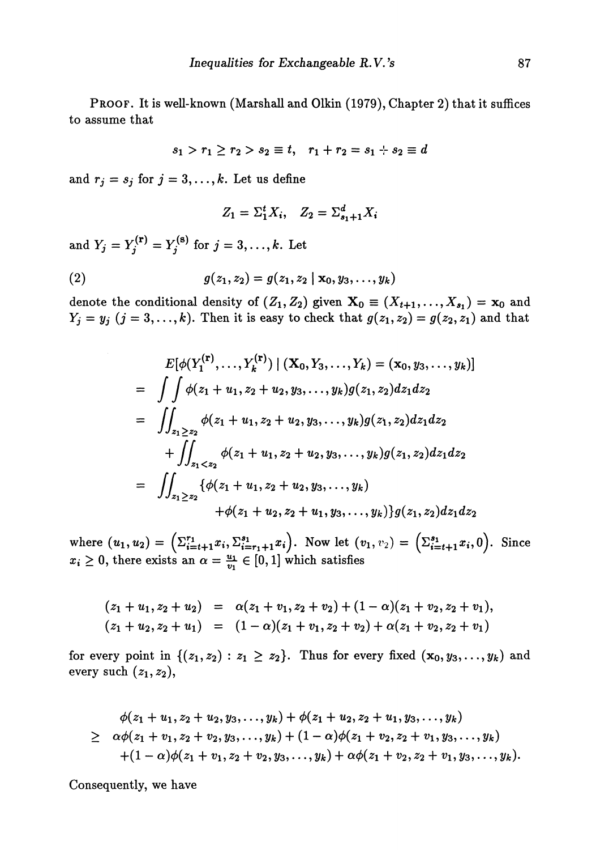PROOF. It is well-known (Marshall and Olkin (1979), Chapter 2) that it suffices to assume that

$$
s_1 > r_1 \geq r_2 > s_2 \equiv t, \quad r_1 + r_2 = s_1 + s_2 \equiv d
$$

and  $r_j = s_j$  for  $j = 3, ..., k$ . Let us define

$$
Z_1 = \Sigma_1^t X_i, \quad Z_2 = \Sigma_{s_1+1}^d X_i
$$

and  $Y_j = Y_i^{(r)} = Y_i^{(8)}$  for  $j = 3, \ldots, k$ . Let

(2) 
$$
g(z_1, z_2) = g(z_1, z_2 | \mathbf{x}_0, y_3, \ldots, y_k)
$$

denote the conditional density of  $(Z_1, Z_2)$  given  $\mathbf{X}_0 \equiv (X_{t+1}, \ldots, X_{s_1}) = \mathbf{x}$  $Y_j = y_j$   $(j = 3, \ldots, k)$ . Then it is easy to check that  $g(z_1, z_2) = g(z_2, z_1)$  and that

$$
E[\phi(Y_1^{(r)},...,Y_k^{(r)}) | (X_0, Y_3,...,Y_k) = (x_0, y_3,...,y_k)]
$$
  
= 
$$
\iint \phi(z_1 + u_1, z_2 + u_2, y_3,...,y_k)g(z_1, z_2)dz_1dz_2
$$
  
= 
$$
\iint_{z_1 \ge z_2} \phi(z_1 + u_1, z_2 + u_2, y_3,...,y_k)g(z_1, z_2)dz_1dz_2
$$
  
+ 
$$
\iint_{z_1 < z_2} \phi(z_1 + u_1, z_2 + u_2, y_3,...,y_k)g(z_1, z_2)dz_1dz_2
$$
  
= 
$$
\iint_{z_1 \ge z_2} {\{\phi(z_1 + u_1, z_2 + u_2, y_3,...,y_k)\}\over{g(z_1, z_2)dz_1dz_2}}
$$

 $\mathbf{w} = (u_1, u_2) = \left( \sum_{i=t+1}^{r_1} x_i, \sum_{i=r_1+1}^{s_1} x_i \right).$  Now let  $(v_1, v_2) = \left( \sum_{i=t+1}^{s_1} x_i, 0 \right).$  Since  $x_i \geq 0$ , there exists an  $\alpha = \frac{u_1}{v_1} \in [0,1]$  which satisfies

$$
(z_1 + u_1, z_2 + u_2) = \alpha (z_1 + v_1, z_2 + v_2) + (1 - \alpha)(z_1 + v_2, z_2 + v_1),
$$
  
\n
$$
(z_1 + u_2, z_2 + u_1) = (1 - \alpha)(z_1 + v_1, z_2 + v_2) + \alpha (z_1 + v_2, z_2 + v_1)
$$

for every point in  $\{(z_1,z_2): z_1 \geq z_2\}$ . Thus for every fixed  $(\mathbf{x}_0,y_3,\ldots,y_k)$ every such  $(z_1, z_2)$ ,

$$
\phi(z_1 + u_1, z_2 + u_2, y_3, \ldots, y_k) + \phi(z_1 + u_2, z_2 + u_1, y_3, \ldots, y_k)
$$
\n
$$
\geq \alpha \phi(z_1 + v_1, z_2 + v_2, y_3, \ldots, y_k) + (1 - \alpha) \phi(z_1 + v_2, z_2 + v_1, y_3, \ldots, y_k)
$$
\n
$$
+ (1 - \alpha) \phi(z_1 + v_1, z_2 + v_2, y_3, \ldots, y_k) + \alpha \phi(z_1 + v_2, z_2 + v_1, y_3, \ldots, y_k).
$$

Consequently, we have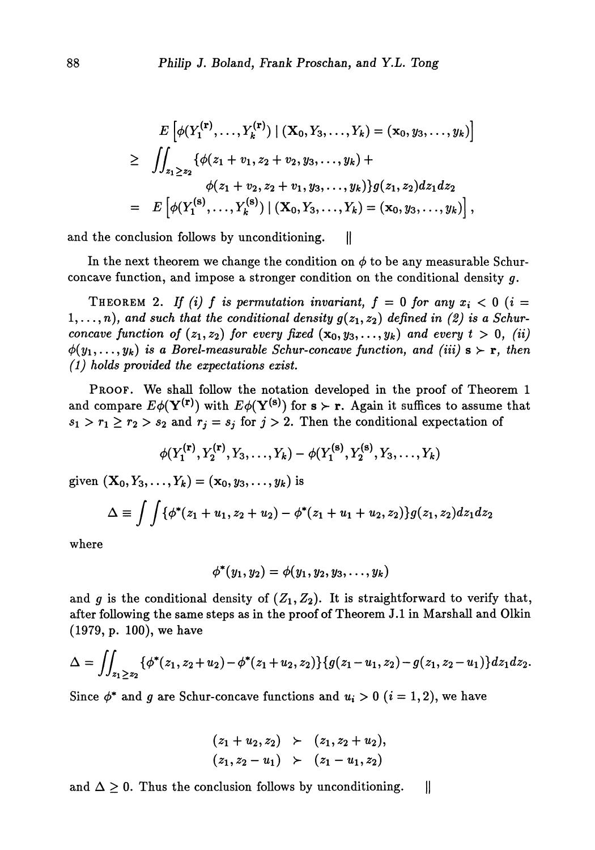$$
E\left[\phi(Y_1^{(\mathbf{r})},\ldots,Y_k^{(\mathbf{r})}) \mid (\mathbf{X}_0,Y_3,\ldots,Y_k) = (\mathbf{x}_0,y_3,\ldots,y_k)\right]
$$
  
\n
$$
\geq \iint_{z_1\geq z_2} {\phi(z_1+v_1,z_2+v_2,y_3,\ldots,y_k)} +
$$
  
\n
$$
\phi(z_1+v_2,z_2+v_1,y_3,\ldots,y_k) \} g(z_1,z_2) dz_1 dz_2
$$
  
\n
$$
= E\left[\phi(Y_1^{(\mathbf{s})},\ldots,Y_k^{(\mathbf{s})}) \mid (\mathbf{X}_0,Y_3,\ldots,Y_k) = (\mathbf{x}_0,y_3,\ldots,y_k)\right],
$$

and the conclusion follows by unconditioning.  $|| \cdot ||$ 

In the next theorem we change the condition on  $\phi$  to be any measurable Schurconcave function, and impose a stronger condition on the conditional density *g.*

THEOREM 2. If (i) f is permutation invariant,  $f = 0$  for any  $x_i < 0$  (i =  $(1, \ldots, n)$ , and such that the conditional density  $g(z_1, z_2)$  defined in  $(2)$  is a Schur*concave function of*  $(z_1, z_2)$  for every fixed  $(\mathbf{x}_0, y_3, \ldots, y_k)$  and every  $t > 0$ ,  $(ii)$  $\phi(y_1,\ldots,y_k)$  *is a Borel-measurable Schur-concave function, and (iii)*  $s \succ r$ *, then (1) holds provided the expectations exist.*

PROOF. We shall follow the notation developed in the proof of Theorem 1 and compare  $E\phi(\mathbf{Y}^{(r)})$  with  $E\phi(\mathbf{Y}^{(s)})$  for  $s \succ r$ . Again it suffices to assume that  $s_1 > r_1 \ge r_2 > s_2$  and  $r_j = s_j$  for  $j > 2$ . Then the conditional expectation of

$$
\phi(Y_1^{(r)},Y_2^{(r)},Y_3,\ldots,Y_k)-\phi(Y_1^{(s)},Y_2^{(s)},Y_3,\ldots,Y_k)
$$

given  $(X_0, Y_3, ..., Y_k) = (x_0, y_3, ..., y_k)$  is

$$
\Delta \equiv \int \int {\phi^*(z_1 + u_1, z_2 + u_2) - \phi^*(z_1 + u_1 + u_2, z_2)} g(z_1, z_2) dz_1 dz_2
$$

where

$$
\phi^*(y_1, y_2) = \phi(y_1, y_2, y_3, \ldots, y_k)
$$

and *g* is the conditional density of  $(Z_1, Z_2)$ . It is straightforward to verify that, after following the same steps as in the proof of Theorem J.I in Marshall and Olkin (1979, p. 100), we have

$$
\Delta = \iint_{z_1 \geq z_2} {\{\phi^*(z_1, z_2 + u_2) - \phi^*(z_1 + u_2, z_2)\}\{g(z_1 - u_1, z_2) - g(z_1, z_2 - u_1)\}dz_1dz_2}.
$$

Since  $\phi^*$  and g are Schur-concave functions and  $u_i > 0$   $(i = 1, 2)$ , we have

$$
(z_1 + u_2, z_2) \geq (z_1, z_2 + u_2),
$$
  

$$
(z_1, z_2 - u_1) \geq (z_1 - u_1, z_2)
$$

and  $\Delta \geq 0$ . Thus the conclusion follows by unconditioning.  $\mathbf l$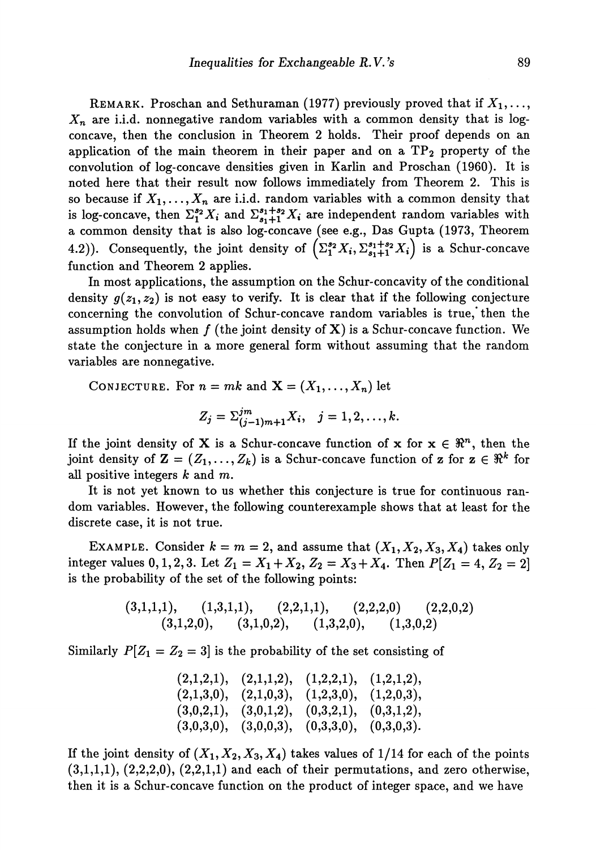REMARK. Proschan and Sethuraman (1977) previously proved that if  $X_1, \ldots,$ *Xn* are i.i.d. nonnegative random variables with a common density that is log concave, then the conclusion in Theorem 2 holds. Their proof depends on an application of the main theorem in their paper and on a  $TP<sub>2</sub>$  property of the convolution of log-concave densities given in Karlin and Proschan (1960). It is noted here that their result now follows immediately from Theorem 2. This is so because if  $X_1,\ldots,X_n$  are i.i.d. random variables with a common density that is log-concave, then  $\Sigma_1^{s_2} X_i$  and  $\Sigma_{s_1+1}^{s_1+s_2} X_i$  are independent random variables with a common density that is also log-concave (see e.g., Das Gupta (1973, Theorem 4.2)). Consequently, the joint density of  $(\Sigma_1^{s_2} X_i, \Sigma_{s_1+1}^{s_1+s_2} X_i)$  is a Schur-concave function and Theorem 2 applies.

In most applications, the assumption on the Schur-concavity of the conditional density  $g(z_1, z_2)$  is not easy to verify. It is clear that if the following conjecture concerning the convolution of Schur-concave random variables is true,' then the assumption holds when  $f$  (the joint density of X) is a Schur-concave function. We state the conjecture in a more general form without assuming that the random variables are nonnegative.

CONJECTURE. For  $n = mk$  and  $\mathbf{X} = (X_1, \ldots, X_n)$  let

$$
Z_j = \sum_{(j-1)m+1}^{jm} X_i, \quad j = 1, 2, \ldots, k.
$$

If the joint density of X is a Schur-concave function of x for  $x \in \mathbb{R}^n$ , then the joint density of  $\mathbf{Z} = (Z_1, \ldots, Z_k)$  is a Schur-concave function of  $\mathbf{z}$  for  $\mathbf{z} \in \mathbb{R}^k$  for all positive integers *k* and m.

It is not yet known to us whether this conjecture is true for continuous ran dom variables. However, the following counterexample shows that at least for the discrete case, it is not true.

EXAMPLE. Consider  $k = m = 2$ , and assume that  $(X_1, X_2, X_3, X_4)$  takes only integer values  $0, 1, 2, 3$ . Let  $Z_1 = X_1 + X_2, Z_2 = X_3 + X_4$ . Then  $P[Z_1 = 4, Z_2 = 2]$ is the probability of the set of the following points:

$$
\begin{array}{cccc} (3,1,1,1), & (1,3,1,1), & (2,2,1,1), & (2,2,2,0) & (2,2,0,2) \\ (3,1,2,0), & (3,1,0,2), & (1,3,2,0), & (1,3,0,2) \end{array}
$$

Similarly  $P[Z_1 = Z_2 = 3]$  is the probability of the set consisting of

| $(2,1,2,1), (2,1,1,2), (1,2,2,1), (1,2,1,2),$ |  |
|-----------------------------------------------|--|
| $(2,1,3,0), (2,1,0,3), (1,2,3,0), (1,2,0,3),$ |  |
| $(3,0,2,1), (3,0,1,2), (0,3,2,1), (0,3,1,2),$ |  |
| $(3,0,3,0), (3,0,0,3), (0,3,3,0), (0,3,0,3).$ |  |

If the joint density of  $(X_1, X_2, X_3, X_4)$  takes values of  $1/14$  for each of the points  $(3,1,1,1), (2,2,2,0), (2,2,1,1)$  and each of their permutations, and zero otherwise, then it is a Schur-concave function on the product of integer space, and we have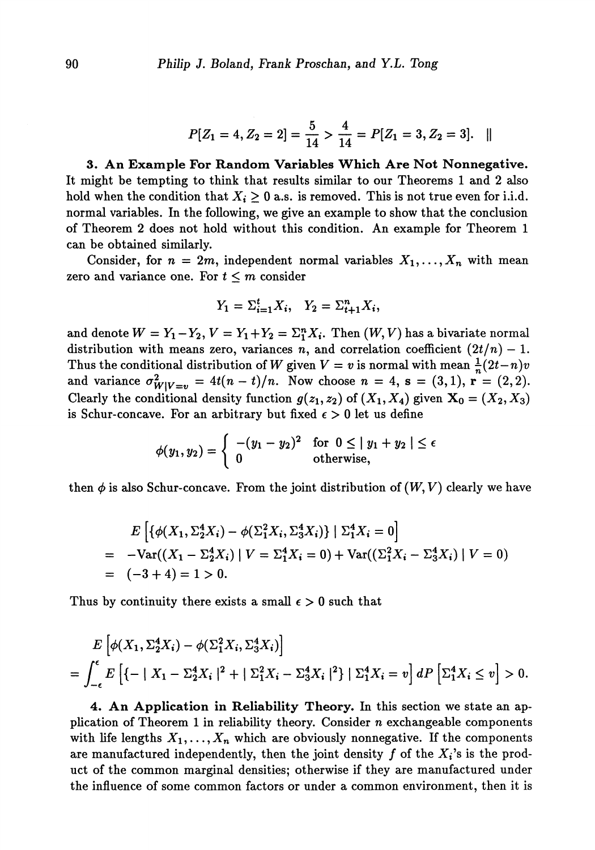$$
P[Z_1 = 4, Z_2 = 2] = \frac{5}{14} > \frac{4}{14} = P[Z_1 = 3, Z_2 = 3]. \quad ||
$$

**3. An Example For** Random **Variables Which Are Not Nonnegative.** It might be tempting to think that results similar to our Theorems 1 and 2 also hold when the condition that  $X_i \geq 0$  a.s. is removed. This is not true even for i.i.d. normal variables. In the following, we give an example to show that the conclusion of Theorem 2 does not hold without this condition. An example for Theorem 1 can be obtained similarly.

Consider, for  $n = 2m$ , independent normal variables  $X_1, \ldots, X_n$  with mean zero and variance one. For  $t \leq m$  consider

$$
Y_1 = \sum_{i=1}^t X_i, \quad Y_2 = \sum_{i=1}^n X_i,
$$

and denote  $W = Y_1 - Y_2$ ,  $V = Y_1 + Y_2 = \Sigma_1^n X_i$ . Then  $(W, V)$  has a bivariate normal distribution with means zero, variances n, and correlation coefficient  $(2t/n) - 1$ . Thus the conditional distribution of W given  $V = v$  is normal with mean  $\frac{1}{n}(2t-n)v$ and variance  $\sigma_{W|V=v}^2 = 4t(n-t)/n$ . Now choose  $n = 4$ ,  $s = (3,1)$ ,  $r = (2,2)$ . Clearly the conditional density function  $g(z_1, z_2)$  of  $(X_1, X_4)$  given  $X_0 = (X_2, X_3)$ is Schur-concave. For an arbitrary but fixed  $\epsilon > 0$  let us define

$$
\phi(y_1, y_2) = \begin{cases}\n-(y_1 - y_2)^2 & \text{for } 0 \le |y_1 + y_2| \le \epsilon \\
0 & \text{otherwise,} \n\end{cases}
$$

then  $\phi$  is also Schur-concave. From the joint distribution of  $(W, V)$  clearly we have

$$
E\left[\{\phi(X_1, \Sigma_2^4 X_i) - \phi(\Sigma_1^2 X_i, \Sigma_3^4 X_i)\} \mid \Sigma_1^4 X_i = 0\right]
$$
  
= -Var((X\_1 - \Sigma\_2^4 X\_i) | V = \Sigma\_1^4 X\_i = 0) + Var((\Sigma\_1^2 X\_i - \Sigma\_3^4 X\_i) | V = 0)  
= (-3 + 4) = 1 > 0.

Thus by continuity there exists a small  $\epsilon > 0$  such that

$$
E\left[\phi(X_1, \Sigma_2^4 X_i) - \phi(\Sigma_1^2 X_i, \Sigma_3^4 X_i)\right]
$$
  
=  $\int_{-\epsilon}^{\epsilon} E\left[\{-|X_1 - \Sigma_2^4 X_i|^2 + |\Sigma_1^2 X_i - \Sigma_3^4 X_i|^2\} | \Sigma_1^4 X_i = v\right] dP\left[\Sigma_1^4 X_i \le v\right] > 0.$ 

**4 An Application in Reliability Theory.** In this section we state an ap plication of Theorem 1 in reliability theory. Consider *n* exchangeable components with life lengths  $X_1, \ldots, X_n$  which are obviously nonnegative. If the components are manufactured independently, then the joint density  $f$  of the  $X_i$ 's is the product of the common marginal densities; otherwise if they are manufactured under the influence of some common factors or under a common environment, then it is